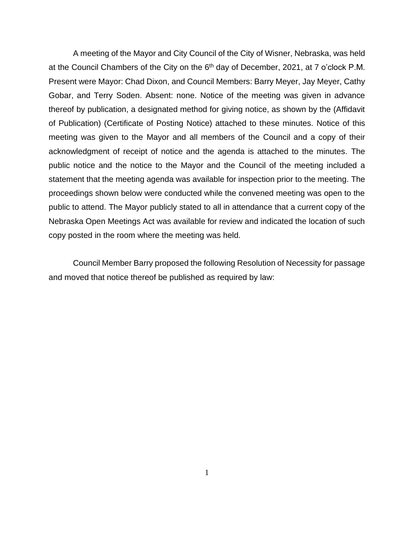A meeting of the Mayor and City Council of the City of Wisner, Nebraska, was held at the Council Chambers of the City on the 6<sup>th</sup> day of December, 2021, at 7 o'clock P.M. Present were Mayor: Chad Dixon, and Council Members: Barry Meyer, Jay Meyer, Cathy Gobar, and Terry Soden. Absent: none. Notice of the meeting was given in advance thereof by publication, a designated method for giving notice, as shown by the (Affidavit of Publication) (Certificate of Posting Notice) attached to these minutes. Notice of this meeting was given to the Mayor and all members of the Council and a copy of their acknowledgment of receipt of notice and the agenda is attached to the minutes. The public notice and the notice to the Mayor and the Council of the meeting included a statement that the meeting agenda was available for inspection prior to the meeting. The proceedings shown below were conducted while the convened meeting was open to the public to attend. The Mayor publicly stated to all in attendance that a current copy of the Nebraska Open Meetings Act was available for review and indicated the location of such copy posted in the room where the meeting was held.

Council Member Barry proposed the following Resolution of Necessity for passage and moved that notice thereof be published as required by law: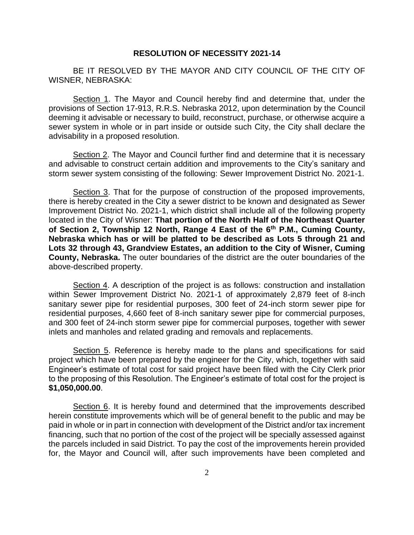## **RESOLUTION OF NECESSITY 2021-14**

BE IT RESOLVED BY THE MAYOR AND CITY COUNCIL OF THE CITY OF WISNER, NEBRASKA:

Section 1. The Mayor and Council hereby find and determine that, under the provisions of Section 17-913, R.R.S. Nebraska 2012, upon determination by the Council deeming it advisable or necessary to build, reconstruct, purchase, or otherwise acquire a sewer system in whole or in part inside or outside such City, the City shall declare the advisability in a proposed resolution.

Section 2. The Mayor and Council further find and determine that it is necessary and advisable to construct certain addition and improvements to the City's sanitary and storm sewer system consisting of the following: Sewer Improvement District No. 2021-1.

Section 3. That for the purpose of construction of the proposed improvements, there is hereby created in the City a sewer district to be known and designated as Sewer Improvement District No. 2021-1, which district shall include all of the following property located in the City of Wisner: **That portion of the North Half of the Northeast Quarter of Section 2, Township 12 North, Range 4 East of the 6th P.M., Cuming County, Nebraska which has or will be platted to be described as Lots 5 through 21 and Lots 32 through 43, Grandview Estates, an addition to the City of Wisner, Cuming County, Nebraska.** The outer boundaries of the district are the outer boundaries of the above-described property.

Section 4. A description of the project is as follows: construction and installation within Sewer Improvement District No. 2021-1 of approximately 2,879 feet of 8-inch sanitary sewer pipe for residential purposes, 300 feet of 24-inch storm sewer pipe for residential purposes, 4,660 feet of 8-inch sanitary sewer pipe for commercial purposes, and 300 feet of 24-inch storm sewer pipe for commercial purposes, together with sewer inlets and manholes and related grading and removals and replacements.

Section 5. Reference is hereby made to the plans and specifications for said project which have been prepared by the engineer for the City, which, together with said Engineer's estimate of total cost for said project have been filed with the City Clerk prior to the proposing of this Resolution. The Engineer's estimate of total cost for the project is **\$1,050,000.00**.

Section 6. It is hereby found and determined that the improvements described herein constitute improvements which will be of general benefit to the public and may be paid in whole or in part in connection with development of the District and/or tax increment financing, such that no portion of the cost of the project will be specially assessed against the parcels included in said District. To pay the cost of the improvements herein provided for, the Mayor and Council will, after such improvements have been completed and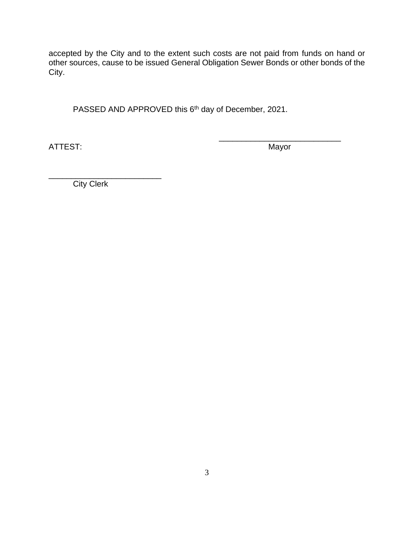accepted by the City and to the extent such costs are not paid from funds on hand or other sources, cause to be issued General Obligation Sewer Bonds or other bonds of the City.

PASSED AND APPROVED this 6<sup>th</sup> day of December, 2021.

ATTEST: Mayor

\_\_\_\_\_\_\_\_\_\_\_\_\_\_\_\_\_\_\_\_\_\_\_\_\_\_\_

\_\_\_\_\_\_\_\_\_\_\_\_\_\_\_\_\_\_\_\_\_\_\_\_\_ **City Clerk**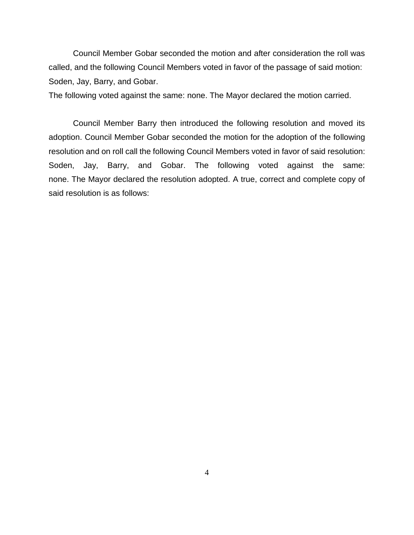Council Member Gobar seconded the motion and after consideration the roll was called, and the following Council Members voted in favor of the passage of said motion: Soden, Jay, Barry, and Gobar.

The following voted against the same: none. The Mayor declared the motion carried.

Council Member Barry then introduced the following resolution and moved its adoption. Council Member Gobar seconded the motion for the adoption of the following resolution and on roll call the following Council Members voted in favor of said resolution: Soden, Jay, Barry, and Gobar. The following voted against the same: none. The Mayor declared the resolution adopted. A true, correct and complete copy of said resolution is as follows: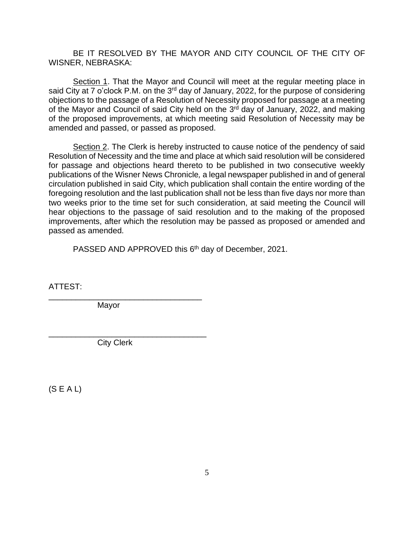BE IT RESOLVED BY THE MAYOR AND CITY COUNCIL OF THE CITY OF WISNER, NEBRASKA:

Section 1. That the Mayor and Council will meet at the regular meeting place in said City at 7 o'clock P.M. on the 3<sup>rd</sup> day of January, 2022, for the purpose of considering objections to the passage of a Resolution of Necessity proposed for passage at a meeting of the Mayor and Council of said City held on the 3<sup>rd</sup> day of January, 2022, and making of the proposed improvements, at which meeting said Resolution of Necessity may be amended and passed, or passed as proposed.

Section 2. The Clerk is hereby instructed to cause notice of the pendency of said Resolution of Necessity and the time and place at which said resolution will be considered for passage and objections heard thereto to be published in two consecutive weekly publications of the Wisner News Chronicle*,* a legal newspaper published in and of general circulation published in said City, which publication shall contain the entire wording of the foregoing resolution and the last publication shall not be less than five days nor more than two weeks prior to the time set for such consideration, at said meeting the Council will hear objections to the passage of said resolution and to the making of the proposed improvements, after which the resolution may be passed as proposed or amended and passed as amended.

PASSED AND APPROVED this 6<sup>th</sup> day of December, 2021.

ATTEST:

\_\_\_\_\_\_\_\_\_\_\_\_\_\_\_\_\_\_\_\_\_\_\_\_\_\_\_\_\_\_\_\_\_\_ Mayor

City Clerk

\_\_\_\_\_\_\_\_\_\_\_\_\_\_\_\_\_\_\_\_\_\_\_\_\_\_\_\_\_\_\_\_\_\_\_

(S E A L)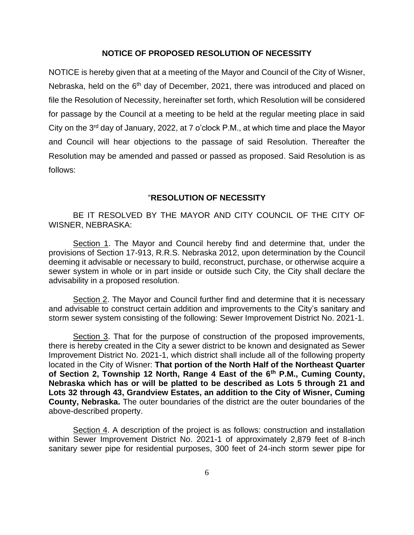## **NOTICE OF PROPOSED RESOLUTION OF NECESSITY**

NOTICE is hereby given that at a meeting of the Mayor and Council of the City of Wisner, Nebraska, held on the 6<sup>th</sup> day of December, 2021, there was introduced and placed on file the Resolution of Necessity, hereinafter set forth, which Resolution will be considered for passage by the Council at a meeting to be held at the regular meeting place in said City on the 3<sup>rd</sup> day of January, 2022, at 7 o'clock P.M., at which time and place the Mayor and Council will hear objections to the passage of said Resolution. Thereafter the Resolution may be amended and passed or passed as proposed. Said Resolution is as follows:

## "**RESOLUTION OF NECESSITY**

BE IT RESOLVED BY THE MAYOR AND CITY COUNCIL OF THE CITY OF WISNER, NEBRASKA:

Section 1. The Mayor and Council hereby find and determine that, under the provisions of Section 17-913, R.R.S. Nebraska 2012, upon determination by the Council deeming it advisable or necessary to build, reconstruct, purchase, or otherwise acquire a sewer system in whole or in part inside or outside such City, the City shall declare the advisability in a proposed resolution.

Section 2. The Mayor and Council further find and determine that it is necessary and advisable to construct certain addition and improvements to the City's sanitary and storm sewer system consisting of the following: Sewer Improvement District No. 2021-1.

Section 3. That for the purpose of construction of the proposed improvements, there is hereby created in the City a sewer district to be known and designated as Sewer Improvement District No. 2021-1, which district shall include all of the following property located in the City of Wisner: **That portion of the North Half of the Northeast Quarter of Section 2, Township 12 North, Range 4 East of the 6th P.M., Cuming County, Nebraska which has or will be platted to be described as Lots 5 through 21 and Lots 32 through 43, Grandview Estates, an addition to the City of Wisner, Cuming County, Nebraska.** The outer boundaries of the district are the outer boundaries of the above-described property.

Section 4. A description of the project is as follows: construction and installation within Sewer Improvement District No. 2021-1 of approximately 2,879 feet of 8-inch sanitary sewer pipe for residential purposes, 300 feet of 24-inch storm sewer pipe for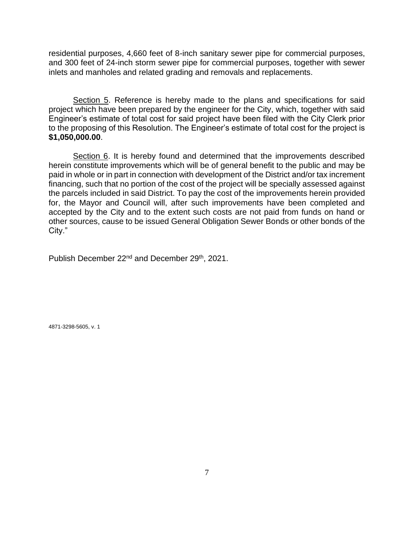residential purposes, 4,660 feet of 8-inch sanitary sewer pipe for commercial purposes, and 300 feet of 24-inch storm sewer pipe for commercial purposes, together with sewer inlets and manholes and related grading and removals and replacements.

Section 5. Reference is hereby made to the plans and specifications for said project which have been prepared by the engineer for the City, which, together with said Engineer's estimate of total cost for said project have been filed with the City Clerk prior to the proposing of this Resolution. The Engineer's estimate of total cost for the project is **\$1,050,000.00**.

Section 6. It is hereby found and determined that the improvements described herein constitute improvements which will be of general benefit to the public and may be paid in whole or in part in connection with development of the District and/or tax increment financing, such that no portion of the cost of the project will be specially assessed against the parcels included in said District. To pay the cost of the improvements herein provided for, the Mayor and Council will, after such improvements have been completed and accepted by the City and to the extent such costs are not paid from funds on hand or other sources, cause to be issued General Obligation Sewer Bonds or other bonds of the City."

Publish December 22<sup>nd</sup> and December 29<sup>th</sup>, 2021.

4871-3298-5605, v. 1